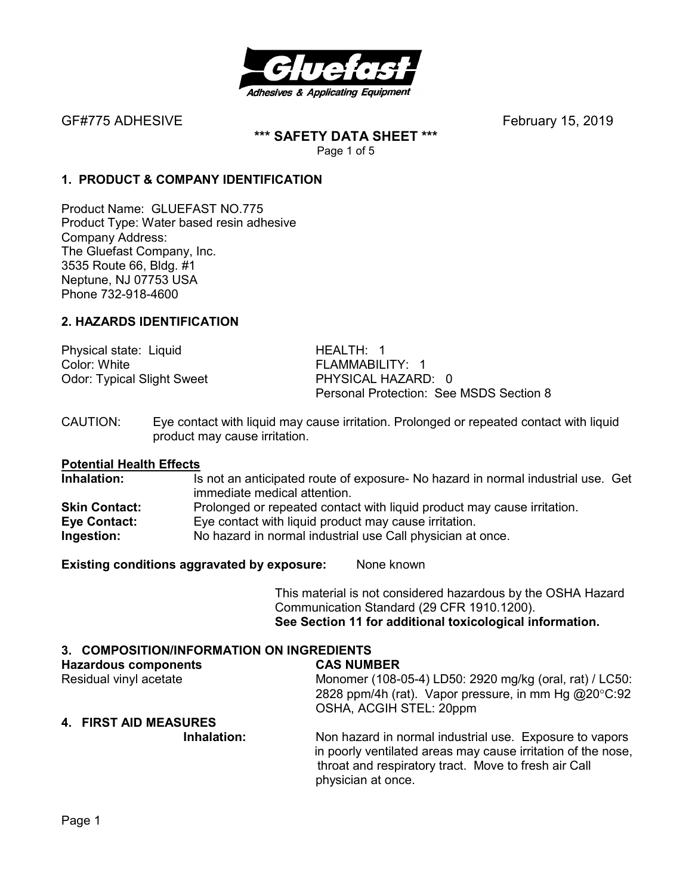

GF#775 ADHESIVEFebruary 15, 2019

**\*\*\* SAFETY DATA SHEET \*\*\***  Page 1 of 5

### **1. PRODUCT & COMPANY IDENTIFICATION**

Product Name: GLUEFAST NO.775 Product Type: Water based resin adhesive Company Address: The Gluefast Company, Inc. 3535 Route 66, Bldg. #1 Neptune, NJ 07753 USA Phone 732-918-4600

#### **2. HAZARDS IDENTIFICATION**

Physical state: Liquid HEALTH: 1 Color: White **FLAMMABILITY:** 1 Odor: Typical Slight Sweet PHYSICAL HAZARD: 0

Personal Protection: See MSDS Section 8

CAUTION: Eye contact with liquid may cause irritation. Prolonged or repeated contact with liquid product may cause irritation.

# **Potential Health Effects**

Is not an anticipated route of exposure- No hazard in normal industrial use. Get immediate medical attention. **Skin Contact:** Prolonged or repeated contact with liquid product may cause irritation. **Eye Contact:** Eye contact with liquid product may cause irritation. **Ingestion:** No hazard in normal industrial use Call physician at once.

**Existing conditions aggravated by exposure:** None known

This material is not considered hazardous by the OSHA Hazard Communication Standard (29 CFR 1910.1200). **See Section 11 for additional toxicological information.** 

#### **3. COMPOSITION/INFORMATION ON INGREDIENTS**

| <b>Hazardous components</b> | <b>CAS NUMBER</b>                                                                                                                                                                                     |
|-----------------------------|-------------------------------------------------------------------------------------------------------------------------------------------------------------------------------------------------------|
| Residual vinyl acetate      | Monomer (108-05-4) LD50: 2920 mg/kg (oral, rat) / LC50:                                                                                                                                               |
|                             | 2828 ppm/4h (rat). Vapor pressure, in mm Hg @20°C:92                                                                                                                                                  |
|                             | OSHA, ACGIH STEL: 20ppm                                                                                                                                                                               |
| 4. FIRST AID MEASURES       |                                                                                                                                                                                                       |
| Inhalation:                 | Non hazard in normal industrial use. Exposure to vapors<br>in poorly ventilated areas may cause irritation of the nose,<br>throat and respiratory tract. Move to fresh air Call<br>physician at once. |
|                             |                                                                                                                                                                                                       |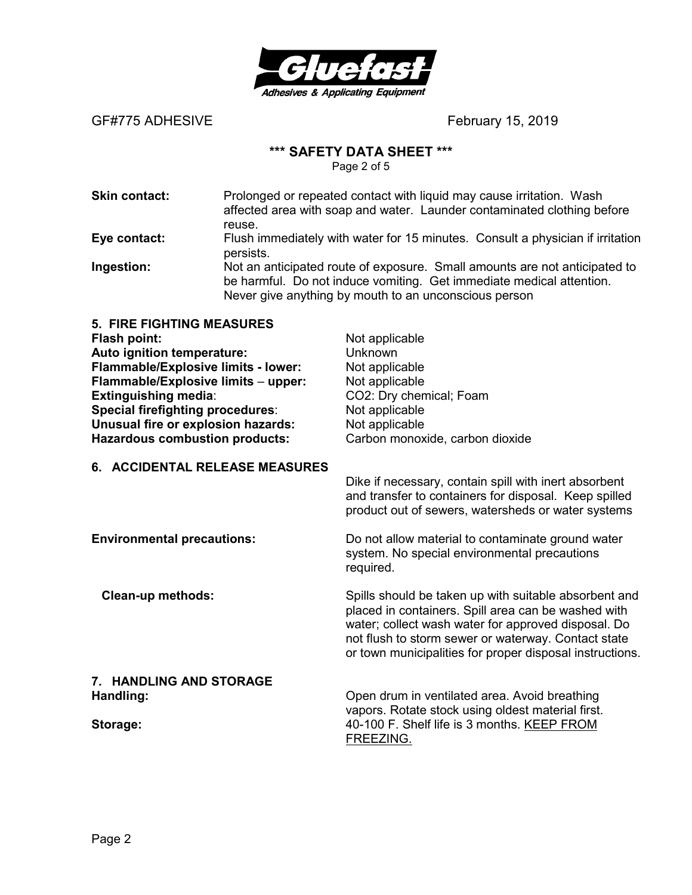

GF#775 ADHESIVE **BELACE COLLECTE Example 15, 2019** 

## **\*\*\* SAFETY DATA SHEET \*\*\***

Page 2 of 5

| Prolonged or repeated contact with liquid may cause irritation. Wash<br>affected area with soap and water. Launder contaminated clothing before                                                             |
|-------------------------------------------------------------------------------------------------------------------------------------------------------------------------------------------------------------|
| reuse.                                                                                                                                                                                                      |
| Flush immediately with water for 15 minutes. Consult a physician if irritation<br>persists.                                                                                                                 |
| Not an anticipated route of exposure. Small amounts are not anticipated to<br>be harmful. Do not induce vomiting. Get immediate medical attention.<br>Never give anything by mouth to an unconscious person |
|                                                                                                                                                                                                             |

| <b>5. FIRE FIGHTING MEASURES</b><br><b>Flash point:</b><br>Auto ignition temperature:<br>Flammable/Explosive limits - lower:<br>Flammable/Explosive limits - upper:<br><b>Extinguishing media:</b><br>Special firefighting procedures:<br>Unusual fire or explosion hazards:<br><b>Hazardous combustion products:</b> | Not applicable<br>Unknown<br>Not applicable<br>Not applicable<br>CO2: Dry chemical; Foam<br>Not applicable<br>Not applicable<br>Carbon monoxide, carbon dioxide                                                                                                                        |
|-----------------------------------------------------------------------------------------------------------------------------------------------------------------------------------------------------------------------------------------------------------------------------------------------------------------------|----------------------------------------------------------------------------------------------------------------------------------------------------------------------------------------------------------------------------------------------------------------------------------------|
| 6. ACCIDENTAL RELEASE MEASURES                                                                                                                                                                                                                                                                                        | Dike if necessary, contain spill with inert absorbent<br>and transfer to containers for disposal. Keep spilled<br>product out of sewers, watersheds or water systems                                                                                                                   |
| <b>Environmental precautions:</b>                                                                                                                                                                                                                                                                                     | Do not allow material to contaminate ground water<br>system. No special environmental precautions<br>required.                                                                                                                                                                         |
| <b>Clean-up methods:</b>                                                                                                                                                                                                                                                                                              | Spills should be taken up with suitable absorbent and<br>placed in containers. Spill area can be washed with<br>water; collect wash water for approved disposal. Do<br>not flush to storm sewer or waterway. Contact state<br>or town municipalities for proper disposal instructions. |
| <b>HANDLING AND STORAGE</b><br>7.<br>Handling:<br>Storage:                                                                                                                                                                                                                                                            | Open drum in ventilated area. Avoid breathing<br>vapors. Rotate stock using oldest material first.<br>40-100 F. Shelf life is 3 months. KEEP FROM                                                                                                                                      |

FREEZING.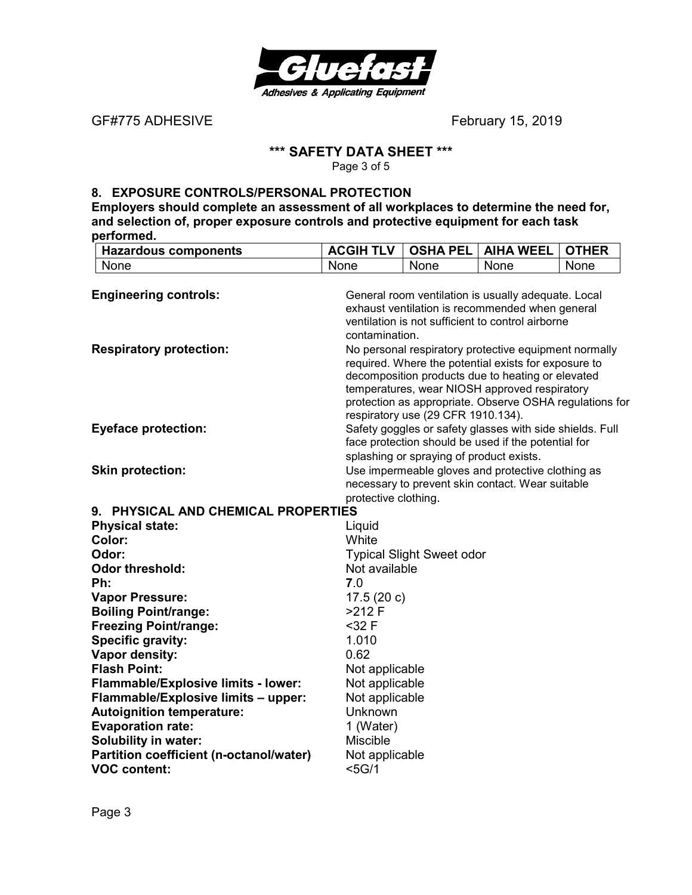

GF#775 ADHESIVE **BELACE EXECUTE: February 15, 2019** 

## **\*\*\* SAFETY DATA SHEET \*\*\***

Page 3 of 5

#### **8. EXPOSURE CONTROLS/PERSONAL PROTECTION**

**Employers should complete an assessment of all workplaces to determine the need for, and selection of, proper exposure controls and protective equipment for each task performed.** 

| <b>Hazardous components</b>             | <b>ACGIH TLV</b>                 | <b>OSHA PEL</b>                          | <b>AIHA WEEL</b>                                                                                   | <b>OTHER</b> |
|-----------------------------------------|----------------------------------|------------------------------------------|----------------------------------------------------------------------------------------------------|--------------|
| None                                    | None                             | None                                     | None                                                                                               | None         |
|                                         |                                  |                                          |                                                                                                    |              |
| <b>Engineering controls:</b>            |                                  |                                          | General room ventilation is usually adequate. Local                                                |              |
|                                         |                                  |                                          | exhaust ventilation is recommended when general                                                    |              |
|                                         |                                  |                                          | ventilation is not sufficient to control airborne                                                  |              |
|                                         | contamination.                   |                                          |                                                                                                    |              |
| <b>Respiratory protection:</b>          |                                  |                                          | No personal respiratory protective equipment normally                                              |              |
|                                         |                                  |                                          | required. Where the potential exists for exposure to                                               |              |
|                                         |                                  |                                          | decomposition products due to heating or elevated<br>temperatures, wear NIOSH approved respiratory |              |
|                                         |                                  |                                          | protection as appropriate. Observe OSHA regulations for                                            |              |
|                                         |                                  | respiratory use (29 CFR 1910.134).       |                                                                                                    |              |
| <b>Eyeface protection:</b>              |                                  |                                          | Safety goggles or safety glasses with side shields. Full                                           |              |
|                                         |                                  |                                          | face protection should be used if the potential for                                                |              |
|                                         |                                  | splashing or spraying of product exists. |                                                                                                    |              |
| <b>Skin protection:</b>                 |                                  |                                          | Use impermeable gloves and protective clothing as                                                  |              |
|                                         |                                  |                                          | necessary to prevent skin contact. Wear suitable                                                   |              |
|                                         | protective clothing.             |                                          |                                                                                                    |              |
| 9. PHYSICAL AND CHEMICAL PROPERTIES     |                                  |                                          |                                                                                                    |              |
| <b>Physical state:</b>                  | Liquid                           |                                          |                                                                                                    |              |
| Color:                                  | White                            |                                          |                                                                                                    |              |
| Odor:                                   |                                  | <b>Typical Slight Sweet odor</b>         |                                                                                                    |              |
| <b>Odor threshold:</b>                  | Not available                    |                                          |                                                                                                    |              |
| Ph:                                     | 7.0                              |                                          |                                                                                                    |              |
| <b>Vapor Pressure:</b>                  | 17.5 $(20 c)$                    |                                          |                                                                                                    |              |
| <b>Boiling Point/range:</b>             | $>212$ F                         |                                          |                                                                                                    |              |
| <b>Freezing Point/range:</b>            | $32 F$                           |                                          |                                                                                                    |              |
| Specific gravity:                       | 1.010<br>0.62                    |                                          |                                                                                                    |              |
| Vapor density:<br><b>Flash Point:</b>   |                                  |                                          |                                                                                                    |              |
| Flammable/Explosive limits - lower:     | Not applicable<br>Not applicable |                                          |                                                                                                    |              |
| Flammable/Explosive limits - upper:     | Not applicable                   |                                          |                                                                                                    |              |
| <b>Autoignition temperature:</b>        | Unknown                          |                                          |                                                                                                    |              |
| <b>Evaporation rate:</b>                | 1 (Water)                        |                                          |                                                                                                    |              |
| <b>Solubility in water:</b>             | <b>Miscible</b>                  |                                          |                                                                                                    |              |
| Partition coefficient (n-octanol/water) | Not applicable                   |                                          |                                                                                                    |              |
| <b>VOC content:</b>                     | $<$ 5G/1                         |                                          |                                                                                                    |              |
|                                         |                                  |                                          |                                                                                                    |              |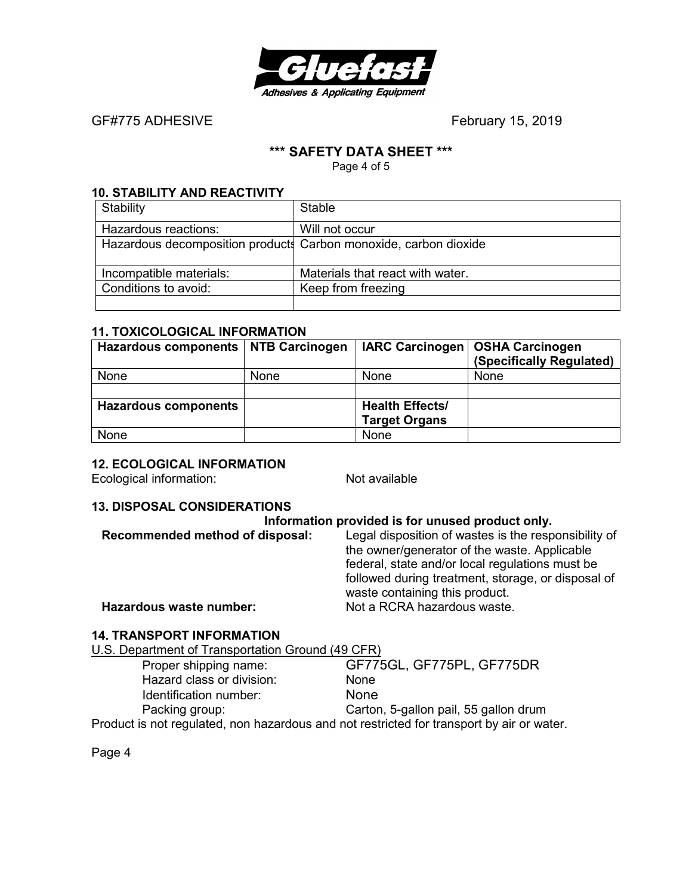

GF#775 ADHESIVEFebruary 15, 2019

#### **\*\*\* SAFETY DATA SHEET \*\*\***

Page 4 of 5

#### **10. STABILITY AND REACTIVITY**

| Stability                                                        | Stable                           |
|------------------------------------------------------------------|----------------------------------|
| Hazardous reactions:                                             | Will not occur                   |
| Hazardous decomposition products Carbon monoxide, carbon dioxide |                                  |
|                                                                  |                                  |
| Incompatible materials:                                          | Materials that react with water. |
| Conditions to avoid:                                             | Keep from freezing               |
|                                                                  |                                  |

#### **11. TOXICOLOGICAL INFORMATION**

| Hazardous components   NTB Carcinogen |      |                        | IARC Carcinogen   OSHA Carcinogen<br>(Specifically Regulated) |
|---------------------------------------|------|------------------------|---------------------------------------------------------------|
| None                                  | None | None                   | None                                                          |
|                                       |      |                        |                                                               |
| <b>Hazardous components</b>           |      | <b>Health Effects/</b> |                                                               |
|                                       |      | <b>Target Organs</b>   |                                                               |
| None                                  |      | None                   |                                                               |

#### **12. ECOLOGICAL INFORMATION**

Ecological information: Not available

#### **13. DISPOSAL CONSIDERATIONS**

# **Information provided is for unused product only.**<br>Recommended method of disposal: Legal disposition of wastes is the resp

**Recommended method of disposal:** Legal disposition of wastes is the responsibility of the owner/generator of the waste. Applicable federal, state and/or local regulations must be followed during treatment, storage, or disposal of waste containing this product. **Hazardous waste number:** Not a RCRA hazardous waste.

#### **14. TRANSPORT INFORMATION**

U.S. Department of Transportation Ground (49 CFR)

| Proper shipping name:                                                                     | GF775GL, GF775PL, GF775DR             |
|-------------------------------------------------------------------------------------------|---------------------------------------|
| Hazard class or division:                                                                 | <b>None</b>                           |
| Identification number:                                                                    | <b>None</b>                           |
| Packing group:                                                                            | Carton, 5-gallon pail, 55 gallon drum |
| Product is not regulated, non hazardous and not restricted for transport by air or water. |                                       |

Page 4